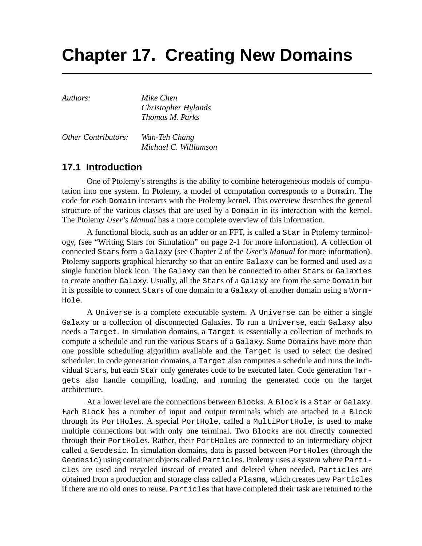# **Chapter 17. Creating New Domains**

*Authors: Mike Chen Christopher Hylands Thomas M. Parks*

*Other Contributors: Wan-Teh Chang Michael C. Williamson*

# **17.1 Introduction**

One of Ptolemy's strengths is the ability to combine heterogeneous models of computation into one system. In Ptolemy, a model of computation corresponds to a Domain. The code for each Domain interacts with the Ptolemy kernel. This overview describes the general structure of the various classes that are used by a Domain in its interaction with the kernel. The Ptolemy *User's Manual* has a more complete overview of this information.

A functional block, such as an adder or an FFT, is called a Star in Ptolemy terminology, (see "Writing Stars for Simulation" on page 2-1 for more information). A collection of connected Stars form a Galaxy (see Chapter 2 of the *User's Manual* for more information). Ptolemy supports graphical hierarchy so that an entire Galaxy can be formed and used as a single function block icon. The Galaxy can then be connected to other Stars or Galaxies to create another Galaxy. Usually, all the Stars of a Galaxy are from the same Domain but it is possible to connect Stars of one domain to a Galaxy of another domain using a Worm-Hole.

A Universe is a complete executable system. A Universe can be either a single Galaxy or a collection of disconnected Galaxies. To run a Universe, each Galaxy also needs a Target. In simulation domains, a Target is essentially a collection of methods to compute a schedule and run the various Stars of a Galaxy. Some Domains have more than one possible scheduling algorithm available and the Target is used to select the desired scheduler. In code generation domains, a Target also computes a schedule and runs the individual Stars, but each Star only generates code to be executed later. Code generation Targets also handle compiling, loading, and running the generated code on the target architecture.

At a lower level are the connections between Blocks. A Block is a Star or Galaxy. Each Block has a number of input and output terminals which are attached to a Block through its PortHoles. A special PortHole, called a MultiPortHole, is used to make multiple connections but with only one terminal. Two Blocks are not directly connected through their PortHoles. Rather, their PortHoles are connected to an intermediary object called a Geodesic. In simulation domains, data is passed between PortHoles (through the Geodesic) using container objects called Particles. Ptolemy uses a system where Particles are used and recycled instead of created and deleted when needed. Particles are obtained from a production and storage class called a Plasma, which creates new Particles if there are no old ones to reuse. Particles that have completed their task are returned to the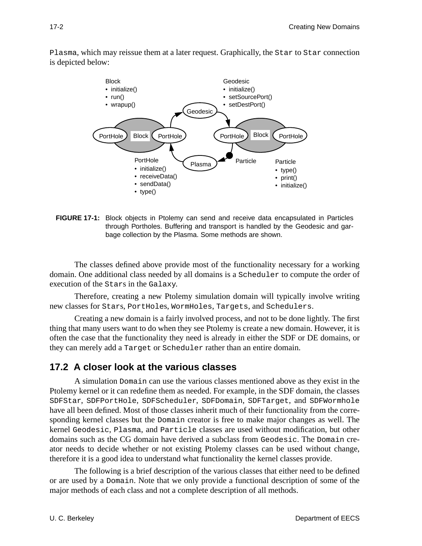Plasma, which may reissue them at a later request. Graphically, the Star to Star connection is depicted below:



**FIGURE 17-1:** Block objects in Ptolemy can send and receive data encapsulated in Particles through Portholes. Buffering and transport is handled by the Geodesic and garbage collection by the Plasma. Some methods are shown.

The classes defined above provide most of the functionality necessary for a working domain. One additional class needed by all domains is a Scheduler to compute the order of execution of the Stars in the Galaxy.

Therefore, creating a new Ptolemy simulation domain will typically involve writing new classes for Stars, PortHoles, WormHoles, Targets, and Schedulers.

Creating a new domain is a fairly involved process, and not to be done lightly. The first thing that many users want to do when they see Ptolemy is create a new domain. However, it is often the case that the functionality they need is already in either the SDF or DE domains, or they can merely add a Target or Scheduler rather than an entire domain.

## **17.2 A closer look at the various classes**

A simulation Domain can use the various classes mentioned above as they exist in the Ptolemy kernel or it can redefine them as needed. For example, in the SDF domain, the classes SDFStar, SDFPortHole, SDFScheduler, SDFDomain, SDFTarget, and SDFWormhole have all been defined. Most of those classes inherit much of their functionality from the corresponding kernel classes but the Domain creator is free to make major changes as well. The kernel Geodesic, Plasma, and Particle classes are used without modification, but other domains such as the CG domain have derived a subclass from Geodesic. The Domain creator needs to decide whether or not existing Ptolemy classes can be used without change, therefore it is a good idea to understand what functionality the kernel classes provide.

The following is a brief description of the various classes that either need to be defined or are used by a Domain. Note that we only provide a functional description of some of the major methods of each class and not a complete description of all methods.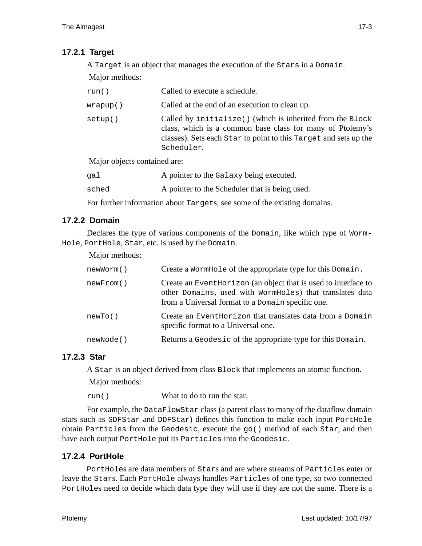# **17.2.1 Target**

A Target is an object that manages the execution of the Stars in a Domain. Major methods:

| run()                        | Called to execute a schedule.                                                                                                                                                                            |
|------------------------------|----------------------------------------------------------------------------------------------------------------------------------------------------------------------------------------------------------|
| wrapup()                     | Called at the end of an execution to clean up.                                                                                                                                                           |
| setup()                      | Called by initialize() (which is inherited from the Block<br>class, which is a common base class for many of Ptolemy's<br>classes). Sets each star to point to this Target and sets up the<br>Scheduler. |
| Major objects contained are: |                                                                                                                                                                                                          |
| gal                          | A pointer to the Galaxy being executed.                                                                                                                                                                  |

sched A pointer to the Scheduler that is being used.

For further information about Targets, see some of the existing domains.

## **17.2.2 Domain**

Declares the type of various components of the Domain, like which type of Worm-Hole, PortHole, Star, etc. is used by the Domain.

#### Major methods:

| newWorm() | Create a WormHole of the appropriate type for this Domain.                                                                                                                       |
|-----------|----------------------------------------------------------------------------------------------------------------------------------------------------------------------------------|
| newFrom() | Create an Event Horizon (an object that is used to interface to<br>other Domains, used with WormHoles) that translates data<br>from a Universal format to a Domain specific one. |
| newTo()   | Create an Event Horizon that translates data from a Domain<br>specific format to a Universal one.                                                                                |
| newNode() | Returns a Geodesic of the appropriate type for this Domain.                                                                                                                      |

## **17.2.3 Star**

A Star is an object derived from class Block that implements an atomic function.

Major methods:

run() What to do to run the star.

For example, the DataFlowStar class (a parent class to many of the dataflow domain stars such as SDFStar and DDFStar) defines this function to make each input PortHole obtain Particles from the Geodesic, execute the go() method of each Star, and then have each output PortHole put its Particles into the Geodesic.

# **17.2.4 PortHole**

PortHoles are data members of Stars and are where streams of Particles enter or leave the Stars. Each PortHole always handles Particles of one type, so two connected PortHoles need to decide which data type they will use if they are not the same. There is a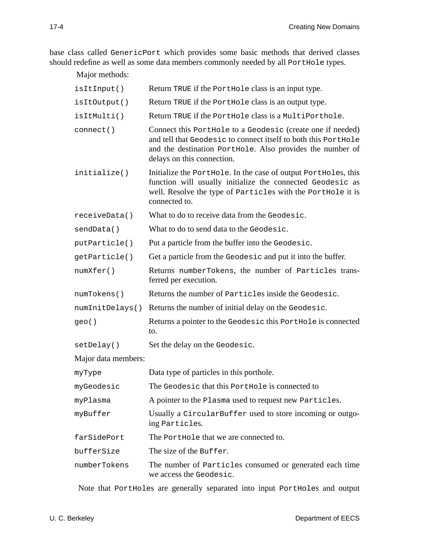base class called GenericPort which provides some basic methods that derived classes should redefine as well as some data members commonly needed by all PortHole types.

Major methods:

| isItInput()         | Return TRUE if the PortHole class is an input type.                                                                                                                                                                     |
|---------------------|-------------------------------------------------------------------------------------------------------------------------------------------------------------------------------------------------------------------------|
| isItOutput()        | Return TRUE if the Porthole class is an output type.                                                                                                                                                                    |
| isItMulti()         | Return TRUE if the PortHole class is a MultiPorthole.                                                                                                                                                                   |
| connect()           | Connect this Porthole to a Geodesic (create one if needed)<br>and tell that Geodesic to connect itself to both this PortHole<br>and the destination PortHole. Also provides the number of<br>delays on this connection. |
| initialize()        | Initialize the Porthole. In the case of output Portholes, this<br>function will usually initialize the connected Geodesic as<br>well. Resolve the type of Particles with the PortHole it is<br>connected to.            |
| receiveData()       | What to do to receive data from the Geodesic.                                                                                                                                                                           |
| sendData()          | What to do to send data to the Geodesic.                                                                                                                                                                                |
| putParticle()       | Put a particle from the buffer into the Geodesic.                                                                                                                                                                       |
| getParticle()       | Get a particle from the Geodesic and put it into the buffer.                                                                                                                                                            |
| numXfer()           | Returns numberTokens, the number of Particles trans-<br>ferred per execution.                                                                                                                                           |
| numTokens()         | Returns the number of Particles inside the Geodesic.                                                                                                                                                                    |
| numInitDelays()     | Returns the number of initial delay on the Geodesic.                                                                                                                                                                    |
| geo()               | Returns a pointer to the Geodesic this PortHole is connected<br>to.                                                                                                                                                     |
| setDelay()          | Set the delay on the Geodesic.                                                                                                                                                                                          |
| Major data members: |                                                                                                                                                                                                                         |
| myType              | Data type of particles in this porthole.                                                                                                                                                                                |
| myGeodesic          | The Geodesic that this Porthole is connected to                                                                                                                                                                         |
| myPlasma            | A pointer to the Plasma used to request new Particles.                                                                                                                                                                  |
| myBuffer            | Usually a CircularBuffer used to store incoming or outgo-<br>ing Particles.                                                                                                                                             |
| farSidePort         | The Porthole that we are connected to.                                                                                                                                                                                  |
| bufferSize          | The size of the Buffer.                                                                                                                                                                                                 |
| numberTokens        | The number of Particles consumed or generated each time<br>we access the Geodesic.                                                                                                                                      |

Note that PortHoles are generally separated into input PortHoles and output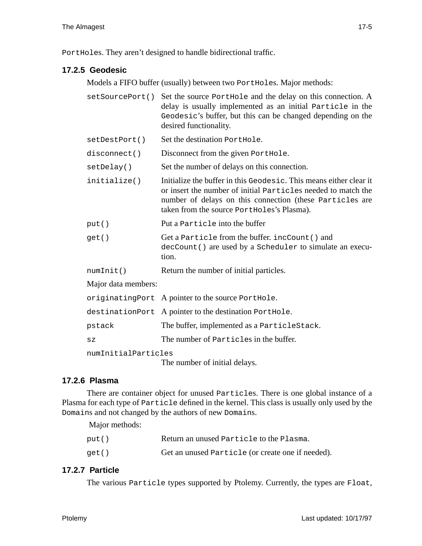PortHoles. They aren't designed to handle bidirectional traffic.

## **17.2.5 Geodesic**

Models a FIFO buffer (usually) between two PortHoles. Major methods:

| setSourcePort()                                      | Set the source Porthole and the delay on this connection. A<br>delay is usually implemented as an initial Particle in the<br>Geodesic's buffer, but this can be changed depending on the<br>desired functionality.                            |  |
|------------------------------------------------------|-----------------------------------------------------------------------------------------------------------------------------------------------------------------------------------------------------------------------------------------------|--|
| setDestPort()                                        | Set the destination PortHole.                                                                                                                                                                                                                 |  |
| disconnect()                                         | Disconnect from the given PortHole.                                                                                                                                                                                                           |  |
| setDelay()                                           | Set the number of delays on this connection.                                                                                                                                                                                                  |  |
| initialize()                                         | Initialize the buffer in this Geodesic. This means either clear it<br>or insert the number of initial Particles needed to match the<br>number of delays on this connection (these Particles are<br>taken from the source PortHoles's Plasma). |  |
| put()                                                | Put a Particle into the buffer                                                                                                                                                                                                                |  |
| get()                                                | Get a Particle from the buffer. incCount () and<br>decCount () are used by a Scheduler to simulate an execu-<br>tion.                                                                                                                         |  |
| numInit()                                            | Return the number of initial particles.                                                                                                                                                                                                       |  |
| Major data members:                                  |                                                                                                                                                                                                                                               |  |
|                                                      | originating Port A pointer to the source PortHole.                                                                                                                                                                                            |  |
|                                                      | destinationPort A pointer to the destination PortHole.                                                                                                                                                                                        |  |
| pstack                                               | The buffer, implemented as a ParticleStack.                                                                                                                                                                                                   |  |
| SZ                                                   | The number of Particles in the buffer.                                                                                                                                                                                                        |  |
| numInitialParticles<br>The number of initial delays. |                                                                                                                                                                                                                                               |  |

## **17.2.6 Plasma**

There are container object for unused Particles. There is one global instance of a Plasma for each type of Particle defined in the kernel. This class is usually only used by the Domains and not changed by the authors of new Domains.

Major methods:

| put() | Return an unused Particle to the Plasma.          |
|-------|---------------------------------------------------|
| get() | Get an unused Particle (or create one if needed). |

## **17.2.7 Particle**

The various Particle types supported by Ptolemy. Currently, the types are Float,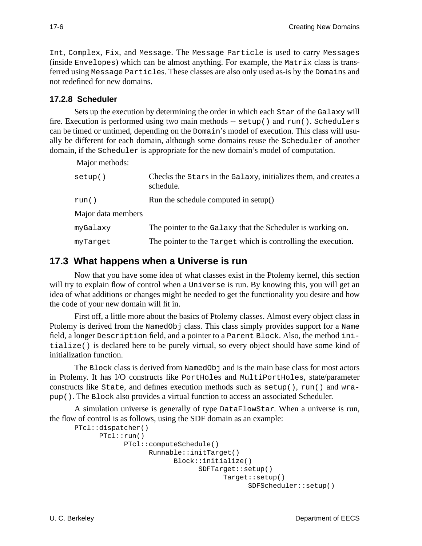Int, Complex, Fix, and Message. The Message Particle is used to carry Messages (inside Envelopes) which can be almost anything. For example, the Matrix class is transferred using Message Particles. These classes are also only used as-is by the Domains and not redefined for new domains.

## **17.2.8 Scheduler**

Sets up the execution by determining the order in which each Star of the Galaxy will fire. Execution is performed using two main methods -- setup() and run(). Schedulers can be timed or untimed, depending on the Domain's model of execution. This class will usually be different for each domain, although some domains reuse the Scheduler of another domain, if the Scheduler is appropriate for the new domain's model of computation.

Major methods:

| setup()            | Checks the Stars in the Galaxy, initializes them, and creates a<br>schedule. |
|--------------------|------------------------------------------------------------------------------|
| run()              | Run the schedule computed in setup()                                         |
| Major data members |                                                                              |
| myGalaxy           | The pointer to the Galaxy that the Scheduler is working on.                  |
| myTarget           | The pointer to the Target which is controlling the execution.                |

# **17.3 What happens when a Universe is run**

Now that you have some idea of what classes exist in the Ptolemy kernel, this section will try to explain flow of control when a Universe is run. By knowing this, you will get an idea of what additions or changes might be needed to get the functionality you desire and how the code of your new domain will fit in.

First off, a little more about the basics of Ptolemy classes. Almost every object class in Ptolemy is derived from the NamedObj class. This class simply provides support for a Name field, a longer Description field, and a pointer to a Parent Block. Also, the method initialize() is declared here to be purely virtual, so every object should have some kind of initialization function.

The Block class is derived from NamedObj and is the main base class for most actors in Ptolemy. It has I/O constructs like PortHoles and MultiPortHoles, state/parameter constructs like State, and defines execution methods such as setup(), run() and wrapup(). The Block also provides a virtual function to access an associated Scheduler.

A simulation universe is generally of type DataFlowStar. When a universe is run, the flow of control is as follows, using the SDF domain as an example:

```
PTcl::dispatcher()
     PTcl::run()
            PTcl::computeSchedule()
                  Runnable::initTarget()
                        Block::initialize()
                              SDFTarget::setup()
                                    Target::setup()
                                          SDFScheduler::setup()
```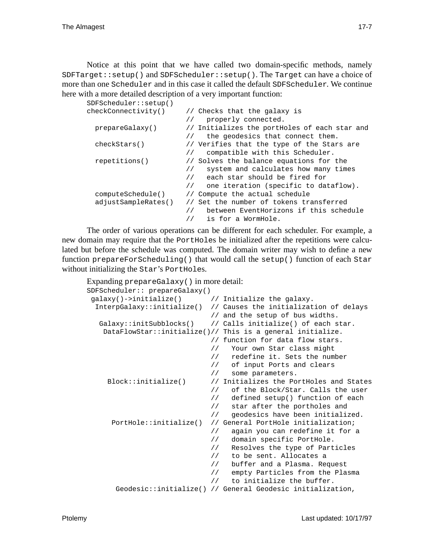Notice at this point that we have called two domain-specific methods, namely  $S$ DFTarget::setup() and  $S$ DFScheduler::setup(). The Target can have a choice of more than one Scheduler and in this case it called the default SDFScheduler. We continue here with a more detailed description of a very important function:

| SDFScheduler::setup() |                                                        |
|-----------------------|--------------------------------------------------------|
| checkConnectivity()   | // Checks that the galaxy is                           |
|                       | properly connected.                                    |
| prepareGalaxy()       | // Initializes the portHoles of each star and          |
|                       | the geodesics that connect them.                       |
| checkStars()          | // Verifies that the type of the Stars are             |
|                       | compatible with this Scheduler.<br>$\frac{1}{2}$       |
| repetitions()         | // Solves the balance equations for the                |
|                       | system and calculates how many times<br>$\frac{1}{2}$  |
|                       | // each star should be fired for                       |
|                       | one iteration (specific to dataflow).<br>$\frac{1}{2}$ |
| computeSchedule()     | // Compute the actual schedule                         |
| adjustSampleRates()   | Set the number of tokens transferred<br>$\frac{1}{2}$  |
|                       | between EventHorizons if this schedule                 |
|                       | is for a WormHole.                                     |

The order of various operations can be different for each scheduler. For example, a new domain may require that the PortHoles be initialized after the repetitions were calculated but before the schedule was computed. The domain writer may wish to define a new function prepareForScheduling() that would call the setup() function of each  $Star$ without initializing the Star's PortHoles.

```
Expanding prepareGalaxy() in more detail:
```

```
SDFScheduler:: prepareGalaxy()
qalaxy() \rightarrow initialize() // Initialize the galaxy.
 InterpGalaxy::initialize() // Causes the initialization of delays
                             // and the setup of bus widths.
  Galaxy::initSubblocks() // Calls initialize() of each star.
   DataFlowStar::initialize()// This is a general initialize.
                             // function for data flow stars.
                             // Your own Star class might
                             // redefine it. Sets the number
                             // of input Ports and clears
                             // some parameters.
    Block::initialize() // Initializes the PortHoles and States
                             // of the Block/Star. Calls the user
                             // defined setup() function of each
                             // star after the portholes and
                             // geodesics have been initialized.
     PortHole::initialize() // General PortHole initialization;
                             // again you can redefine it for a
                             // domain specific PortHole.
                             // Resolves the type of Particles
                             // to be sent. Allocates a
                             // buffer and a Plasma. Request
                             // empty Particles from the Plasma
                             // to initialize the buffer.
      Geodesic::initialize() // General Geodesic initialization,
```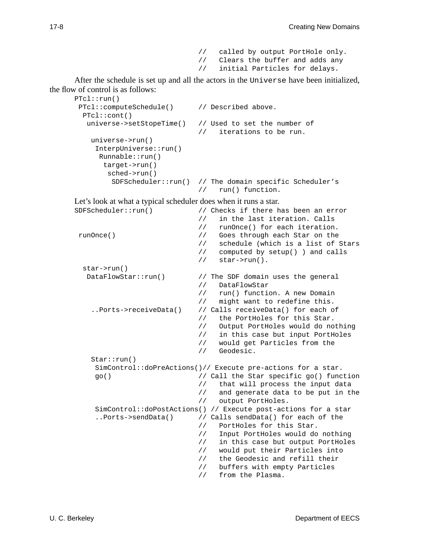// called by output PortHole only. // Clears the buffer and adds any<br>// initial Particles for delays. initial Particles for delays.

After the schedule is set up and all the actors in the Universe have been initialized, the flow of control is as follows:

```
PTcl::run()
PTcl::computeSchedule() // Described above.
 PTcl::cont()
  universe->setStopeTime() // Used to set the number of
                            // iterations to be run.
   universe->run()
    InterpUniverse::run()
     Runnable::run()
     target->run()
       sched->run()
        SDFScheduler::run() // The domain specific Scheduler's
                            // run() function.
```
Let's look at what a typical scheduler does when it runs a star.

| SDFScheduler: run()        | // Checks if there has been an error                           |
|----------------------------|----------------------------------------------------------------|
| $\frac{1}{2}$              | in the last iteration. Calls                                   |
| $\frac{1}{2}$              | runOnce() for each iteration.                                  |
| runOnce()<br>$\frac{1}{2}$ | Goes through each Star on the                                  |
| $\frac{1}{2}$              | schedule (which is a list of Stars                             |
|                            | computed by setup() ) and calls<br>$\frac{1}{2}$               |
| $\frac{1}{2}$              | $star\$ {run}().                                               |
| $star->run()$              |                                                                |
| DataFlowStar:run()         | // The SDF domain uses the general                             |
| $\frac{1}{2}$              | DataFlowStar                                                   |
| $\frac{1}{2}$              | run() function. A new Domain                                   |
| $\frac{1}{2}$              | might want to redefine this.                                   |
| Ports->receiveData()       | // Calls receiveData() for each of                             |
| $\frac{1}{2}$              | the PortHoles for this Star.                                   |
| $\frac{1}{2}$              | Output PortHoles would do nothing                              |
| $\frac{1}{2}$              | in this case but input PortHoles                               |
|                            | would get Particles from the<br>$\frac{1}{2}$                  |
| $\frac{1}{2}$              | Geodesic.                                                      |
| Star:run()                 |                                                                |
|                            | SimControl::doPreActions()// Execute pre-actions for a star.   |
| go()                       | // Call the Star specific go() function                        |
|                            | that will process the input data<br>$\frac{1}{2}$              |
| $\frac{1}{2}$              | and generate data to be put in the                             |
| $\frac{1}{2}$              | output PortHoles.                                              |
|                            | SimControl::doPostActions() // Execute post-actions for a star |
| Ports->sendData()          | // Calls sendData() for each of the                            |
| $\frac{1}{2}$              | PortHoles for this Star.                                       |
| $\frac{1}{2}$              | Input PortHoles would do nothing                               |
| $\frac{1}{2}$              | in this case but output PortHoles                              |
| $\frac{1}{2}$              | would put their Particles into                                 |
| $\frac{1}{2}$              | the Geodesic and refill their                                  |
| $\frac{1}{2}$              | buffers with empty Particles                                   |
| $\frac{1}{2}$              | from the Plasma.                                               |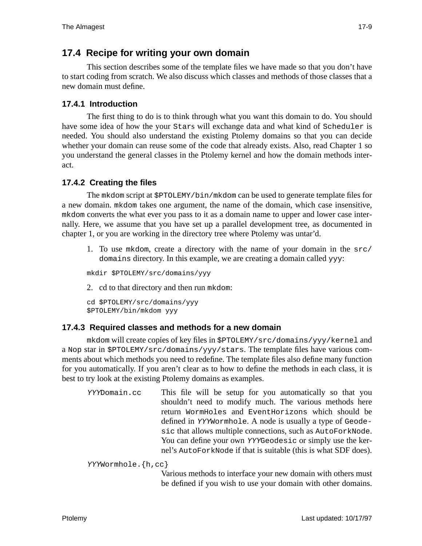# **17.4 Recipe for writing your own domain**

This section describes some of the template files we have made so that you don't have to start coding from scratch. We also discuss which classes and methods of those classes that a new domain must define.

# **17.4.1 Introduction**

The first thing to do is to think through what you want this domain to do. You should have some idea of how the your Stars will exchange data and what kind of Scheduler is needed. You should also understand the existing Ptolemy domains so that you can decide whether your domain can reuse some of the code that already exists. Also, read Chapter 1 so you understand the general classes in the Ptolemy kernel and how the domain methods interact.

# **17.4.2 Creating the files**

The mkdom script at \$PTOLEMY/bin/mkdom can be used to generate template files for a new domain. mkdom takes one argument, the name of the domain, which case insensitive, mkdom converts the what ever you pass to it as a domain name to upper and lower case internally. Here, we assume that you have set up a parallel development tree, as documented in chapter 1, or you are working in the directory tree where Ptolemy was untar'd.

1. To use mkdom, create a directory with the name of your domain in the src/ domains directory. In this example, we are creating a domain called yyy:

mkdir \$PTOLEMY/src/domains/yyy

2. cd to that directory and then run mkdom:

```
cd $PTOLEMY/src/domains/yyy
$PTOLEMY/bin/mkdom yyy
```
## **17.4.3 Required classes and methods for a new domain**

mkdom will create copies of key files in \$PTOLEMY/src/domains/yyy/kernel and a Nop star in \$PTOLEMY/src/domains/yyy/stars. The template files have various comments about which methods you need to redefine. The template files also define many function for you automatically. If you aren't clear as to how to define the methods in each class, it is best to try look at the existing Ptolemy domains as examples.

YYYDomain.cc This file will be setup for you automatically so that you shouldn't need to modify much. The various methods here return WormHoles and EventHorizons which should be defined in YYYWormhole. A node is usually a type of Geodesic that allows multiple connections, such as AutoForkNode. You can define your own YYYGeodesic or simply use the kernel's AutoForkNode if that is suitable (this is what SDF does).

YYYWormhole.{h,cc}

Various methods to interface your new domain with others must be defined if you wish to use your domain with other domains.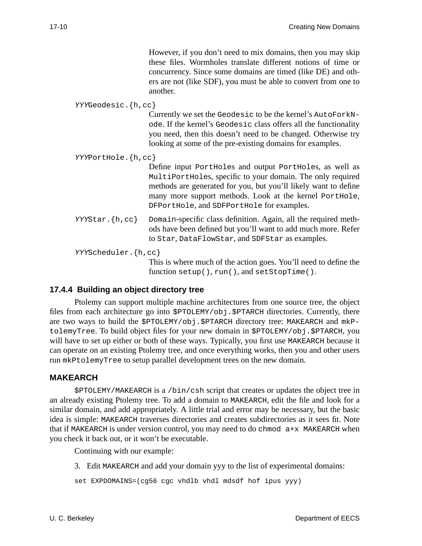However, if you don't need to mix domains, then you may skip these files. Wormholes translate different notions of time or concurrency. Since some domains are timed (like DE) and others are not (like SDF), you must be able to convert from one to another.

```
YYYGeodesic.{h,cc}
                    Currently we set the Geodesic to be the kernel's AutoForkN-
                    ode. If the kernel's Geodesic class offers all the functionality
                    you need, then this doesn't need to be changed. Otherwise try
                    looking at some of the pre-existing domains for examples.
YYYPortHole.{h,cc}
                    Define input PortHoles and output PortHoles, as well as
                    MultiPortHoles, specific to your domain. The only required
                    methods are generated for you, but you'll likely want to define
                    many more support methods. Look at the kernel PortHole,
                    DFPortHole, and SDFPortHole for examples.
YYYStar.{h,cc} Domain-specific class definition. Again, all the required meth-
                    ods have been defined but you'll want to add much more. Refer
                    to Star, DataFlowStar, and SDFStar as examples.
YYYScheduler.{h,cc}
                    This is where much of the action goes. You'll need to define the
                    function setup(), run(), and setStopTime().
```
## **17.4.4 Building an object directory tree**

Ptolemy can support multiple machine architectures from one source tree, the object files from each architecture go into  $$PTOLEMY/obj. $PTARCH$  directories. Currently, there are two ways to build the \$PTOLEMY/obj.\$PTARCH directory tree: MAKEARCH and mkPtolemyTree. To build object files for your new domain in \$PTOLEMY/obj.\$PTARCH, you will have to set up either or both of these ways. Typically, you first use MAKEARCH because it can operate on an existing Ptolemy tree, and once everything works, then you and other users run mkPtolemyTree to setup parallel development trees on the new domain.

## **MAKEARCH**

\$PTOLEMY/MAKEARCH is a /bin/csh script that creates or updates the object tree in an already existing Ptolemy tree. To add a domain to MAKEARCH, edit the file and look for a similar domain, and add appropriately. A little trial and error may be necessary, but the basic idea is simple: MAKEARCH traverses directories and creates subdirectories as it sees fit. Note that if MAKEARCH is under version control, you may need to do chmod  $a+x$  MAKEARCH when you check it back out, or it won't be executable.

Continuing with our example:

3. Edit MAKEARCH and add your domain yyy to the list of experimental domains:

```
set EXPDOMAINS=(cg56 cgc vhdlb vhdl mdsdf hof ipus yyy)
```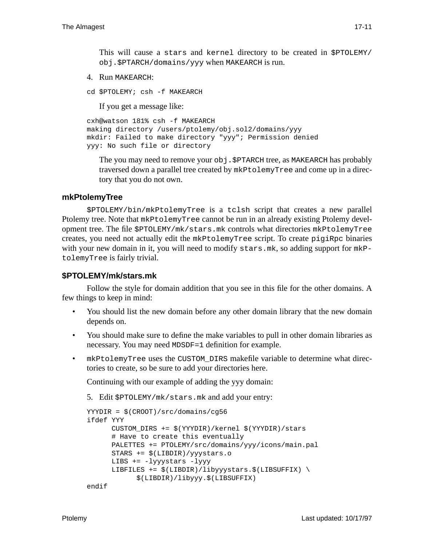This will cause a stars and kernel directory to be created in \$PTOLEMY/ obj.\$PTARCH/domains/yyy when MAKEARCH is run.

4. Run MAKEARCH:

```
cd $PTOLEMY; csh -f MAKEARCH
```
If you get a message like:

```
cxh@watson 181% csh -f MAKEARCH
making directory /users/ptolemy/obj.sol2/domains/yyy
mkdir: Failed to make directory "yyy"; Permission denied
yyy: No such file or directory
```
The you may need to remove your  $obj$ . \$PTARCH tree, as MAKEARCH has probably traversed down a parallel tree created by mkPtolemyTree and come up in a directory that you do not own.

#### **mkPtolemyTree**

\$PTOLEMY/bin/mkPtolemyTree is a tclsh script that creates a new parallel Ptolemy tree. Note that  $m$ kPtolemyTree cannot be run in an already existing Ptolemy development tree. The file \$PTOLEMY/mk/stars.mk controls what directories mkPtolemyTree creates, you need not actually edit the mkPtolemyTree script. To create pigiRpc binaries with your new domain in it, you will need to modify stars.mk, so adding support for  $mkP$ tolemyTree is fairly trivial.

#### **\$PTOLEMY/mk/stars.mk**

Follow the style for domain addition that you see in this file for the other domains. A few things to keep in mind:

- You should list the new domain before any other domain library that the new domain depends on.
- You should make sure to define the make variables to pull in other domain libraries as necessary. You may need MDSDF=1 definition for example.
- mkPtolemyTree uses the CUSTOM\_DIRS makefile variable to determine what directories to create, so be sure to add your directories here.

Continuing with our example of adding the yyy domain:

5. Edit \$PTOLEMY/mk/stars.mk and add your entry:

```
YYYDIR = $(CROOT)/src/domains/cg56
ifdef YYY
      CUSTOM_DIRS += $(YYYDIR)/kernel $(YYYDIR)/stars
      # Have to create this eventually
      PALETTES += PTOLEMY/src/domains/yyy/icons/main.pal
      STARS += $(LIBDIR)/yyystars.o
      LIBS += -lyyystars -lyyy
      LIBFILES += \frac{2}{3}(LIBDIR)/libyyystars.$(LIBSUFFIX) \
            $(LIBDIR)/libyyy.$(LIBSUFFIX)
endif
```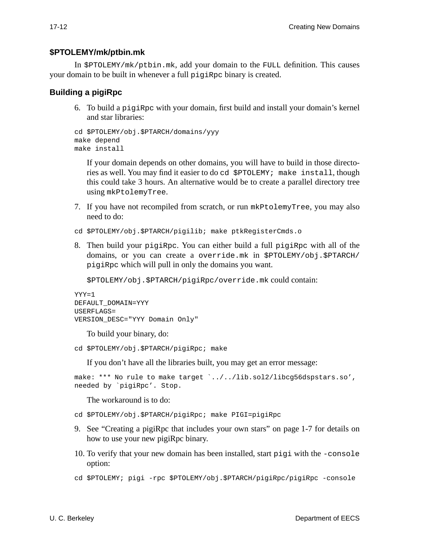#### **\$PTOLEMY/mk/ptbin.mk**

In \$PTOLEMY/mk/ptbin.mk, add your domain to the FULL definition. This causes your domain to be built in whenever a full pigiRpc binary is created.

## **Building a pigiRpc**

6. To build a pigiRpc with your domain, first build and install your domain's kernel and star libraries:

```
cd $PTOLEMY/obj.$PTARCH/domains/yyy
make depend
make install
```
If your domain depends on other domains, you will have to build in those directories as well. You may find it easier to do cd \$PTOLEMY; make install, though this could take 3 hours. An alternative would be to create a parallel directory tree using mkPtolemyTree.

- 7. If you have not recompiled from scratch, or run mkPtolemyTree, you may also need to do:
- cd \$PTOLEMY/obj.\$PTARCH/pigilib; make ptkRegisterCmds.o
- 8. Then build your pigiRpc. You can either build a full pigiRpc with all of the domains, or you can create a override.mk in \$PTOLEMY/obj.\$PTARCH/ pigiRpc which will pull in only the domains you want.

\$PTOLEMY/obj.\$PTARCH/pigiRpc/override.mk could contain:

```
YYY=1
DEFAULT_DOMAIN=YYY
USERFLAGS=
VERSION_DESC="YYY Domain Only"
```
To build your binary, do:

```
cd $PTOLEMY/obj.$PTARCH/pigiRpc; make
```
If you don't have all the libraries built, you may get an error message:

make: \*\*\* No rule to make target `../../lib.sol2/libcg56dspstars.so', needed by `pigiRpc'. Stop.

The workaround is to do:

```
cd $PTOLEMY/obj.$PTARCH/pigiRpc; make PIGI=pigiRpc
```
- 9. See "Creating a pigiRpc that includes your own stars" on page 1-7 for details on how to use your new pigiRpc binary.
- 10. To verify that your new domain has been installed, start pigi with the -console option:
- cd \$PTOLEMY; pigi -rpc \$PTOLEMY/obj.\$PTARCH/pigiRpc/pigiRpc -console